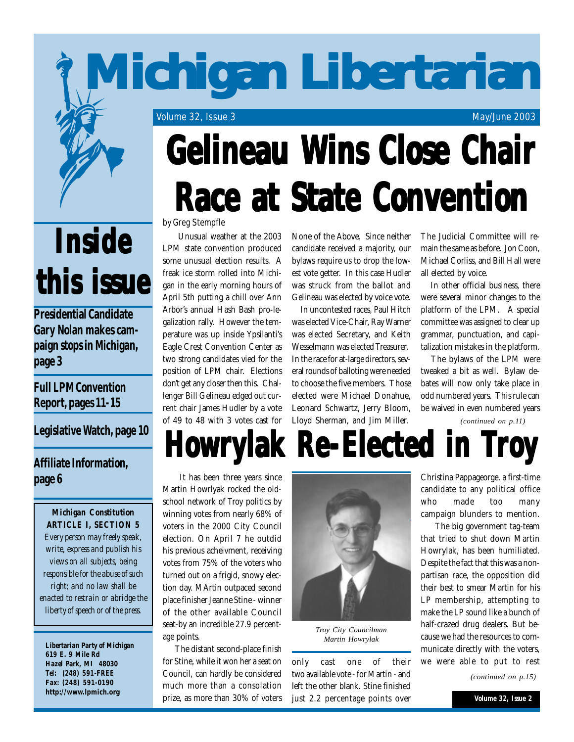# **Michigan Libertarian Michigan Libertarian Michigan Libertarian**

Volume 32, Issue 3 May/June 2003

# **Inside this issue this issue this issue**

**Presidential Candidate Gary Nolan makes campaign stops in Michigan, page 3**

## **Full LPM Convention Report, pages 11-15**

**Legislative Watch, page 10**

## **Affiliate Information, page 6**

*Michigan Constitution ARTICLE I, SECTION 5 Every person may freely speak, write, express and publish his views on all subjects, being responsible for the abuse of such right; and no law shall be enacted to restrain or abridge the liberty of speech or of the press.*

*Libertarian Party of Michigan 619 E. 9 Mile Rd Hazel Park, MI 48030 Tel: (248) 591-FREE Fax: (248) 591-0190* **http://www.lpmich.org**

# **Gelineau Wins Close Chair Race at State Convention**

### by Greg Stempfle

 Unusual weather at the 2003 LPM state convention produced some unusual election results. A freak ice storm rolled into Michigan in the early morning hours of April 5th putting a chill over Ann Arbor's annual Hash Bash pro-legalization rally. However the temperature was up inside Ypsilanti's Eagle Crest Convention Center as two strong candidates vied for the position of LPM chair. Elections don't get any closer then this. Challenger Bill Gelineau edged out current chair James Hudler by a vote of 49 to 48 with 3 votes cast for None of the Above. Since neither candidate received a majority, our bylaws require us to drop the lowest vote getter. In this case Hudler was struck from the ballot and Gelineau was elected by voice vote.

 In uncontested races, Paul Hitch was elected Vice-Chair, Ray Warner was elected Secretary, and Keith Wesselmann was elected Treasurer. In the race for at-large directors, several rounds of balloting were needed to choose the five members. Those elected were Michael Donahue, Leonard Schwartz, Jerry Bloom, Lloyd Sherman, and Jim Miller.

The Judicial Committee will remain the same as before. Jon Coon, Michael Corliss, and Bill Hall were all elected by voice.

 In other official business, there were several minor changes to the platform of the LPM. A special committee was assigned to clear up grammar, punctuation, and capitalization mistakes in the platform.

 The bylaws of the LPM were tweaked a bit as well. Bylaw debates will now only take place in odd numbered years. This rule can be waived in even numbered years

*(continued on p.11)*

## **Howrylak Re-Elected in Troy**

 It has been three years since Martin Howrlyak rocked the oldschool network of Troy politics by winning votes from nearly 68% of voters in the 2000 City Council election. On April 7 he outdid his previous acheivment, receiving votes from 75% of the voters who turned out on a frigid, snowy election day. MArtin outpaced second place finisher Jeanne Stine - winner of the other available Council seat-by an incredible 27.9 percentage points.

 The distant second-place finish for Stine, while it won her a seat on Council, can hardly be considered much more than a consolation prize, as more than 30% of voters



*Troy City Councilman Martin Howrylak*

only cast one of their two available vote - for Martin - and left the other blank. Stine finished just 2.2 percentage points over

Christina Pappageorge, a first-time candidate to any political office who made too many campaign blunders to mention.

 The big government tag-team that tried to shut down Martin Howrylak, has been humiliated. Despite the fact that this was a nonpartisan race, the opposition did their best to smear Martin for his LP membership, attempting to make the LP sound like a bunch of half-crazed drug dealers. But because we had the resources to communicate directly with the voters, we were able to put to rest

*(continued on p.15)*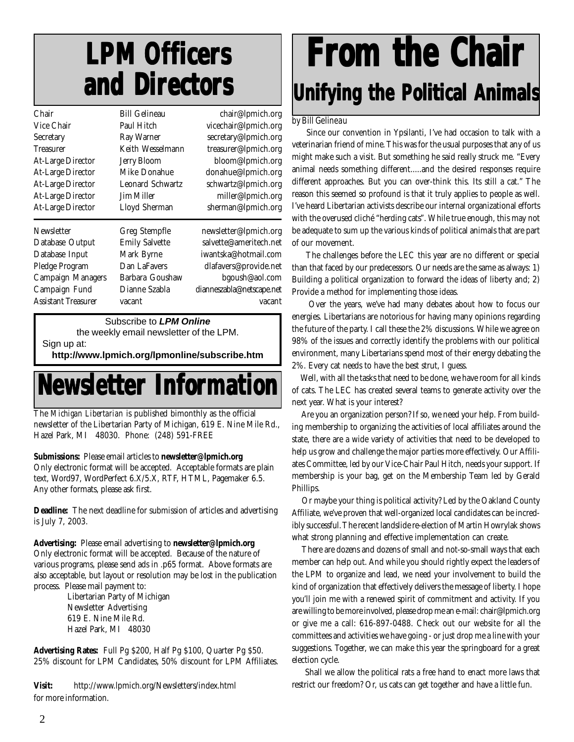## **LPM Officers LPM Officers and Directors and Directors and Directors**

| Chair                      | <b>Bill Gelineau</b>    | chair@lpmich.org          |
|----------------------------|-------------------------|---------------------------|
| Vice Chair                 | Paul Hitch              | vicechair@lpmich.org      |
| Secretary                  | Ray Warner              | secretary@lpmich.org      |
| <b>Treasurer</b>           | Keith Wesselmann        | treasurer@lpmich.org      |
| <b>At-Large Director</b>   | <b>Jerry Bloom</b>      | bloom@lpmich.org          |
| <b>At-Large Director</b>   | Mike Donahue            | donahue@lpmich.org        |
| <b>At-Large Director</b>   | <b>Leonard Schwartz</b> | schwartz@lpmich.org       |
| <b>At-Large Director</b>   | Jim Miller              | miller@lpmich.org         |
| <b>At-Large Director</b>   | Lloyd Sherman           | sherman@lpmich.org        |
| Newsletter                 | Greg Stempfle           | newsletter@lpmich.org     |
| Database Output            | <b>Emily Salvette</b>   | salvette@ameritech.net    |
| Database Input             | Mark Byrne              | iwantska@hotmail.com      |
| Pledge Program             | Dan LaFavers            | dlafavers@provide.net     |
| <b>Campaign Managers</b>   | Barbara Goushaw         | bgoush@aol.com            |
| Campaign Fund              | Dianne Szabla           | dianneszabla@netscape.net |
| <b>Assistant Treasurer</b> | vacant                  | vacant                    |

Subscribe to *LPM Online*

the weekly email newsletter of the LPM.

Sign up at:

**http://www.lpmich.org/lpmonline/subscribe.htm**

## **Newsletter Information Newsletter Information Newsletter Information**

The *Michigan Libertarian* is published bimonthly as the official newsletter of the Libertarian Party of Michigan, 619 E. Nine Mile Rd., Hazel Park, MI 48030. Phone: (248) 591-FREE

#### **Submissions:** Please email articles to **newsletter@lpmich.org**

Only electronic format will be accepted. Acceptable formats are plain text, Word97, WordPerfect 6.X/5.X, RTF, HTML, Pagemaker 6.5. Any other formats, please ask first.

**Deadline:** The next deadline for submission of articles and advertising is July 7, 2003.

**Advertising:** Please email advertising to **newsletter@lpmich.org** Only electronic format will be accepted. Because of the nature of various programs, please send ads in .p65 format. Above formats are also acceptable, but layout or resolution may be lost in the publication process. Please mail payment to:

> Libertarian Party of Michigan Newsletter Advertising 619 E. Nine Mile Rd. Hazel Park, MI 48030

**Advertising Rates:** Full Pg \$200, Half Pg \$100, Quarter Pg \$50. 25% discount for LPM Candidates, 50% discount for LPM Affiliates.

**Visit:** http://www.lpmich.org/Newsletters/index.html for more information.

## **From the Chair om the Chair om the Chair Unifying the Political Animals**

### by Bill Gelineau

 Since our convention in Ypsilanti, I've had occasion to talk with a veterinarian friend of mine. This was for the usual purposes that any of us might make such a visit. But something he said really struck me. "Every animal needs something different.....and the desired responses require different approaches. But you can over-think this. Its still a cat." The reason this seemed so profound is that it truly applies to people as well. I've heard Libertarian activists describe our internal organizational efforts with the overused cliché "herding cats". While true enough, this may not be adequate to sum up the various kinds of political animals that are part of our movement.

 The challenges before the LEC this year are no different or special than that faced by our predecessors. Our needs are the same as always: 1) Building a political organization to forward the ideas of liberty and; 2) Provide a method for implementing those ideas.

 Over the years, we've had many debates about how to focus our energies. Libertarians are notorious for having many opinions regarding the future of the party. I call these the 2% discussions. While we agree on 98% of the issues and correctly identify the problems with our political environment, many Libertarians spend most of their energy debating the 2%. Every cat needs to have the best strut, I guess.

 Well, with all the tasks that need to be done, we have room for all kinds of cats. The LEC has created several teams to generate activity over the next year. What is your interest?

 Are you an organization person? If so, we need your help. From building membership to organizing the activities of local affiliates around the state, there are a wide variety of activities that need to be developed to help us grow and challenge the major parties more effectively. Our Affiliates Committee, led by our Vice-Chair Paul Hitch, needs your support. If membership is your bag, get on the Membership Team led by Gerald Phillips.

 Or maybe your thing is political activity? Led by the Oakland County Affiliate, we've proven that well-organized local candidates can be incredibly successful. The recent landslide re-election of Martin Howrylak shows what strong planning and effective implementation can create.

 There are dozens and dozens of small and not-so-small ways that each member can help out. And while you should rightly expect the leaders of the LPM to organize and lead, we need your involvement to build the kind of organization that effectively delivers the message of liberty. I hope you'll join me with a renewed spirit of commitment and activity. If you are willing to be more involved, please drop me an e-mail: chair@lpmich.org or give me a call: 616-897-0488. Check out our website for all the committees and activities we have going - or just drop me a line with your suggestions. Together, we can make this year the springboard for a great election cycle.

 Shall we allow the political rats a free hand to enact more laws that restrict our freedom? Or, us cats can get together and have a little fun.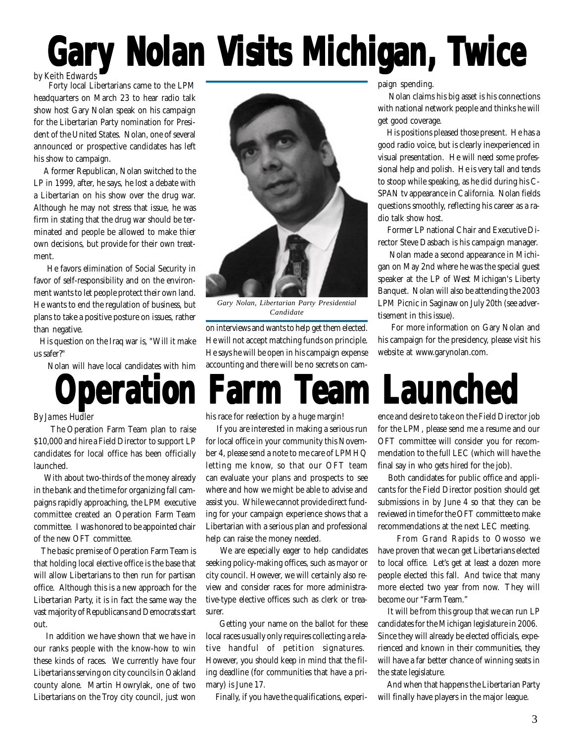# Gary Nolan Visits Mchigan, Twice

## by Keith Edwards

 Forty local Libertarians came to the LPM headquarters on March 23 to hear radio talk show host Gary Nolan speak on his campaign for the Libertarian Party nomination for President of the United States. Nolan, one of several announced or prospective candidates has left his show to campaign.

 A former Republican, Nolan switched to the LP in 1999, after, he says, he lost a debate with a Libertarian on his show over the drug war. Although he may not stress that issue, he was firm in stating that the drug war should be terminated and people be allowed to make thier own decisions, but provide for their own treatment.

 He favors elimination of Social Security in favor of self-responsibility and on the environment wants to let people protect their own land. He wants to end the regulation of business, but plans to take a positive posture on issues, rather than negative.

 His question on the Iraq war is, "Will it make us safer?"

Nolan will have local candidates with him



*Gary Nolan, Libertarian Party Presidential Candidate*

on interviews and wants to help get them elected. He will not accept matching funds on principle. He says he will be open in his campaign expense accounting and there will be no secrets on campaign spending.

 Nolan claims his big asset is his connections with national network people and thinks he will get good coverage.

 His positions pleased those present. He has a good radio voice, but is clearly inexperienced in visual presentation. He will need some professional help and polish. He is very tall and tends to stoop while speaking, as he did during his C-SPAN tv appearance in California. Nolan fields questions smoothly, reflecting his career as a radio talk show host.

 Former LP national Chair and Executive Director Steve Dasbach is his campaign manager.

 Nolan made a second appearance in Michigan on May 2nd where he was the special guest speaker at the LP of West Michigan's Liberty Banquet. Nolan will also be attending the 2003 LPM Picnic in Saginaw on July 20th (see advertisement in this issue).

 For more information on Gary Nolan and his campaign for the presidency, please visit his website at www.garynolan.com.

## **eration Farm Team Launch**

#### By James Hudler

 The Operation Farm Team plan to raise \$10,000 and hire a Field Director to support LP candidates for local office has been officially launched.

 With about two-thirds of the money already in the bank and the time for organizing fall campaigns rapidly approaching, the LPM executive committee created an Operation Farm Team committee. I was honored to be appointed chair of the new OFT committee.

 The basic premise of Operation Farm Team is that holding local elective office is the base that will allow Libertarians to then run for partisan office. Although this is a new approach for the Libertarian Party, it is in fact the same way the vast majority of Republicans and Democrats start out.

 In addition we have shown that we have in our ranks people with the know-how to win these kinds of races. We currently have four Libertarians serving on city councils in Oakland county alone. Martin Howrylak, one of two Libertarians on the Troy city council, just won his race for reelection by a huge margin!

 If you are interested in making a serious run for local office in your community this November 4, please send a note to me care of LPMHQ letting me know, so that our OFT team can evaluate your plans and prospects to see where and how we might be able to advise and assist you. While we cannot provide direct funding for your campaign experience shows that a Libertarian with a serious plan and professional help can raise the money needed.

 We are especially eager to help candidates seeking policy-making offices, such as mayor or city council. However, we will certainly also review and consider races for more administrative-type elective offices such as clerk or treasurer.

 Getting your name on the ballot for these local races usually only requires collecting a relative handful of petition signatures. However, you should keep in mind that the filing deadline (for communities that have a primary) is June 17.

Finally, if you have the qualifications, experi-

ence and desire to take on the Field Director job for the LPM, please send me a resume and our OFT committee will consider you for recommendation to the full LEC (which will have the final say in who gets hired for the job).

 Both candidates for public office and applicants for the Field Director position should get submissions in by June 4 so that they can be reviewed in time for the OFT committee to make recommendations at the next LEC meeting.

 From Grand Rapids to Owosso we have proven that we can get Libertarians elected to local office. Let's get at least a dozen more people elected this fall. And twice that many more elected two year from now. They will become our "Farm Team."

 It will be from this group that we can run LP candidates for the Michigan legislature in 2006. Since they will already be elected officials, experienced and known in their communities, they will have a far better chance of winning seats in the state legislature.

 And when that happens the Libertarian Party will finally have players in the major league.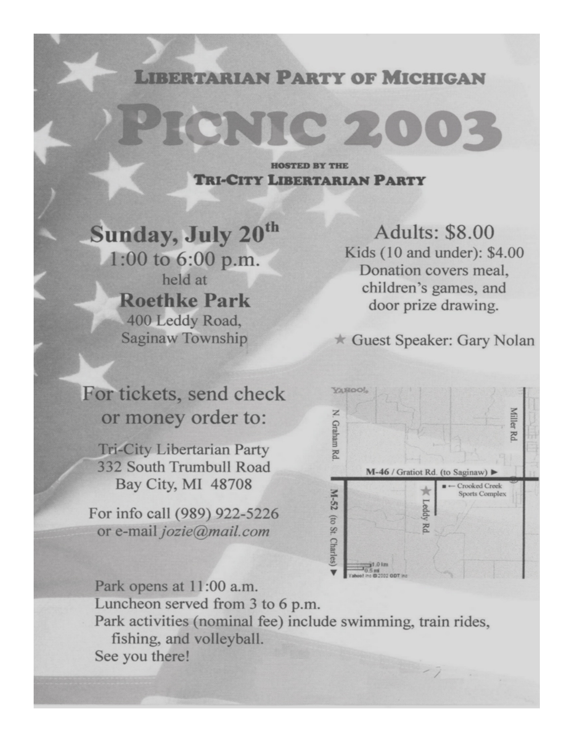## **LIBERTARIAN PARTY OF MICHIGAN**

PICNIC 200

**HOSTED BY THE TRI-CITY LIBERTARIAN PARTY** 

**Sunday, July 20th** 1:00 to 6:00 p.m. held at **Roethke Park** 400 Leddy Road, Saginaw Township

**Adults: \$8.00** Kids (10 and under): \$4.00 Donation covers meal. children's games, and door prize drawing.

Guest Speaker: Gary Nolan

For tickets, send check or money order to:

**Tri-City Libertarian Party** 332 South Trumbull Road Bay City, MI 48708

For info call (989) 922-5226 or e-mail jozie@mail.com



Park opens at 11:00 a.m. Luncheon served from 3 to 6 p.m. Park activities (nominal fee) include swimming, train rides, fishing, and volleyball. See you there!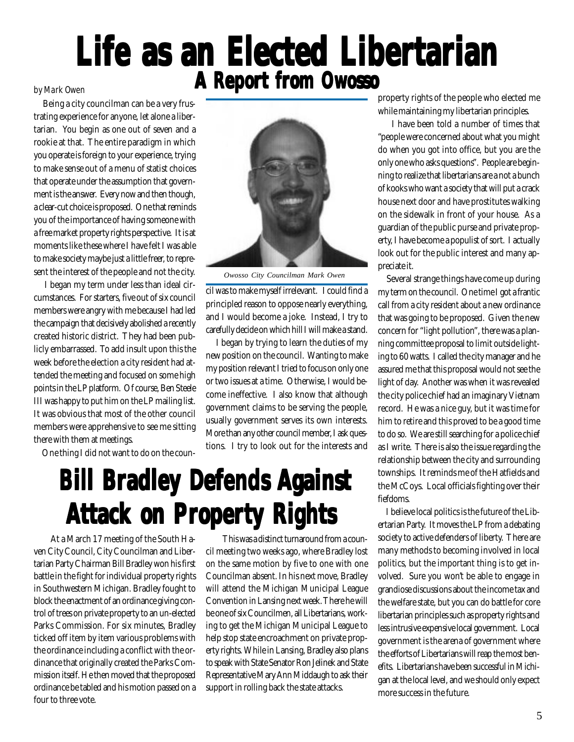## **Life as an Elected Libertarian A Report from Owosso**

 Being a city councilman can be a very frustrating experience for anyone, let alone a libertarian. You begin as one out of seven and a rookie at that. The entire paradigm in which you operate is foreign to your experience, trying to make sense out of a menu of statist choices that operate under the assumption that government is the answer. Every now and then though, a clear-cut choice is proposed. One that reminds you of the importance of having someone with a free market property rights perspective. It is at moments like these where I have felt I was able to make society maybe just a little freer, to represent the interest of the people and not the city.

 I began my term under less than ideal circumstances. For starters, five out of six council members were angry with me because I had led the campaign that decisively abolished a recently created historic district. They had been publicly embarrassed. To add insult upon this the week before the election a city resident had attended the meeting and focused on some high points in the LP platform. Of course, Ben Steele III was happy to put him on the LP mailing list. It was obvious that most of the other council members were apprehensive to see me sitting there with them at meetings.

One thing I did not want to do on the coun-



*Owosso City Councilman Mark Owen*

cil was to make myself irrelevant. I could find a principled reason to oppose nearly everything, and I would become a joke. Instead, I try to carefully decide on which hill I will make a stand.

 I began by trying to learn the duties of my new position on the council. Wanting to make my position relevant I tried to focus on only one or two issues at a time. Otherwise, I would become ineffective. I also know that although government claims to be serving the people, usually government serves its own interests. More than any other council member, I ask questions. I try to look out for the interests and

## **Bill Bradley Defends Against Attack on Property Rights**

At a March 17 meeting of the South Haven City Council, City Councilman and Libertarian Party Chairman Bill Bradley won his first battle in the fight for individual property rights in Southwestern Michigan. Bradley fought to block the enactment of an ordinance giving control of trees on private property to an un-elected Parks Commission. For six minutes, Bradley ticked off item by item various problems with the ordinance including a conflict with the ordinance that originally created the Parks Commission itself. He then moved that the proposed ordinance be tabled and his motion passed on a four to three vote.

This was a distinct turnaround from a council meeting two weeks ago, where Bradley lost on the same motion by five to one with one Councilman absent. In his next move, Bradley will attend the Michigan Municipal League Convention in Lansing next week. There he will be one of six Councilmen, all Libertarians, working to get the Michigan Municipal League to help stop state encroachment on private property rights. While in Lansing, Bradley also plans to speak with State Senator Ron Jelinek and State Representative Mary Ann Middaugh to ask their support in rolling back the state attacks.

property rights of the people who elected me while maintaining my libertarian principles.

 I have been told a number of times that "people were concerned about what you might do when you got into office, but you are the only one who asks questions". People are beginning to realize that libertarians are a not a bunch of kooks who want a society that will put a crack house next door and have prostitutes walking on the sidewalk in front of your house. As a guardian of the public purse and private property, I have become a populist of sort. I actually look out for the public interest and many appreciate it.

 Several strange things have come up during my term on the council. One time I got a frantic call from a city resident about a new ordinance that was going to be proposed. Given the new concern for "light pollution", there was a planning committee proposal to limit outside lighting to 60 watts. I called the city manager and he assured me that this proposal would not see the light of day. Another was when it was revealed the city police chief had an imaginary Vietnam record. He was a nice guy, but it was time for him to retire and this proved to be a good time to do so. We are still searching for a police chief as I write. There is also the issue regarding the relationship between the city and surrounding townships. It reminds me of the Hatfields and the McCoys. Local officials fighting over their fiefdoms.

 I believe local politics is the future of the Libertarian Party. It moves the LP from a debating society to active defenders of liberty. There are many methods to becoming involved in local politics, but the important thing is to get involved. Sure you won't be able to engage in grandiose discussions about the income tax and the welfare state, but you can do battle for core libertarian principles such as property rights and less intrusive expensive local government. Local government is the arena of government where the efforts of Libertarians will reap the most benefits. Libertarians have been successful in Michigan at the local level, and we should only expect more success in the future.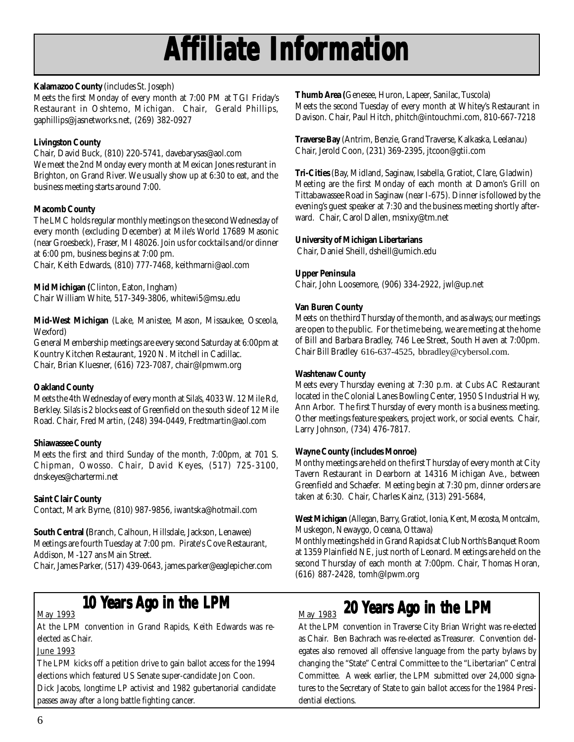## **Affiliate Infor filiate filiate Information**

## **Kalamazoo County** (includes St. Joseph)

Meets the first Monday of every month at 7:00 PM at TGI Friday's Restaurant in Oshtemo, Michigan. Chair, Gerald Phillips, gaphillips@jasnetworks.net, (269) 382-0927

## **Livingston County**

Chair, David Buck, (810) 220-5741, davebarysas@aol.com We meet the 2nd Monday every month at Mexican Jones resturant in Brighton, on Grand River. We usually show up at 6:30 to eat, and the business meeting starts around 7:00.

### **Macomb County**

The LMC holds regular monthly meetings on the second Wednesday of every month (excluding December) at Mile's World 17689 Masonic (near Groesbeck), Fraser, MI 48026. Join us for cocktails and/or dinner at 6:00 pm, business begins at 7:00 pm.

Chair, Keith Edwards, (810) 777-7468, keithmarni@aol.com

**Mid Michigan (**Clinton, Eaton, Ingham) Chair William White, 517-349-3806, whitewi5@msu.edu

**Mid-West Michigan** (Lake, Manistee, Mason, Missaukee, Osceola, Wexford)

General Membership meetings are every second Saturday at 6:00pm at Kountry Kitchen Restaurant, 1920 N. Mitchell in Cadillac. Chair, Brian Kluesner, (616) 723-7087, chair@lpmwm.org

## **Oakland County**

Meets the 4th Wednesday of every month at Sila's, 4033 W. 12 Mile Rd, Berkley. Sila's is 2 blocks east of Greenfield on the south side of 12 Mile Road. Chair, Fred Martin, (248) 394-0449, Fredtmartin@aol.com

### **Shiawassee County**

Meets the first and third Sunday of the month, 7:00pm, at 701 S. Chipman, Owosso. Chair, David Keyes, (517) 725-3100, dnskeyes@chartermi.net

## **Saint Clair County**

Contact, Mark Byrne, (810) 987-9856, iwantska@hotmail.com

**South Central (**Branch, Calhoun, Hillsdale, Jackson, Lenawee) Meetings are fourth Tuesday at 7:00 pm. Pirate's Cove Restaurant, Addison, M-127 ans Main Street.

Chair, James Parker, (517) 439-0643, james.parker@eaglepicher.com

### May 1993

At the LPM convention in Grand Rapids, Keith Edwards was reelected as Chair.

## June 1993

The LPM kicks off a petition drive to gain ballot access for the 1994 elections which featured US Senate super-candidate Jon Coon. Dick Jacobs, longtime LP activist and 1982 gubertanorial candidate passes away after a long battle fighting cancer.

**Thumb Area (**Genesee, Huron, Lapeer, Sanilac, Tuscola) Meets the second Tuesday of every month at Whitey's Restaurant in Davison. Chair, Paul Hitch, phitch@intouchmi.com, 810-667-7218

**Traverse Bay** (Antrim, Benzie, Grand Traverse, Kalkaska, Leelanau) Chair, Jerold Coon, (231) 369-2395, jtcoon@gtii.com

**Tri-Cities** (Bay, Midland, Saginaw, Isabella, Gratiot, Clare, Gladwin) Meeting are the first Monday of each month at Damon's Grill on Tittabawassee Road in Saginaw (near I-675). Dinner is followed by the evening's guest speaker at 7:30 and the business meeting shortly afterward. Chair, Carol Dallen, msnixy@tm.net

### **University of Michigan Libertarians**

Chair, Daniel Sheill, dsheill@umich.edu

### **Upper Peninsula**

Chair, John Loosemore, (906) 334-2922, jwl@up.net

### **Van Buren County**

Meets on the third Thursday of the month, and as always; our meetings are open to the public. For the time being, we are meeting at the home of Bill and Barbara Bradley, 746 Lee Street, South Haven at 7:00pm. Chair Bill Bradley 616-637-4525, bbradley@cybersol.com.

### **Washtenaw County**

Meets every Thursday evening at 7:30 p.m. at Cubs AC Restaurant located in the Colonial Lanes Bowling Center, 1950 S Industrial Hwy, Ann Arbor. The first Thursday of every month is a business meeting. Other meetings feature speakers, project work, or social events. Chair, Larry Johnson, (734) 476-7817.

### **Wayne County (includes Monroe)**

Monthy meetings are held on the first Thursday of every month at City Tavern Restaurant in Dearborn at 14316 Michigan Ave., between Greenfield and Schaefer. Meeting begin at 7:30 pm, dinner orders are taken at 6:30. Chair, Charles Kainz, (313) 291-5684,

**West Michigan** (Allegan, Barry, Gratiot, Ionia, Kent, Mecosta, Montcalm, Muskegon, Newaygo, Oceana, Ottawa)

Monthly meetings held in Grand Rapids at Club North's Banquet Room at 1359 Plainfield NE, just north of Leonard. Meetings are held on the second Thursday of each month at 7:00pm. Chair, Thomas Horan, (616) 887-2428, tomh@lpwm.org

## **10 Years Ago in the LPM**  $\frac{May + 1983}{20}$  **20 Years Ago in the LPM**

At the LPM convention in Traverse City Brian Wright was re-elected as Chair. Ben Bachrach was re-elected as Treasurer. Convention delegates also removed all offensive language from the party bylaws by changing the "State" Central Committee to the "Libertarian" Central Committee. A week earlier, the LPM submitted over 24,000 signatures to the Secretary of State to gain ballot access for the 1984 Presidential elections.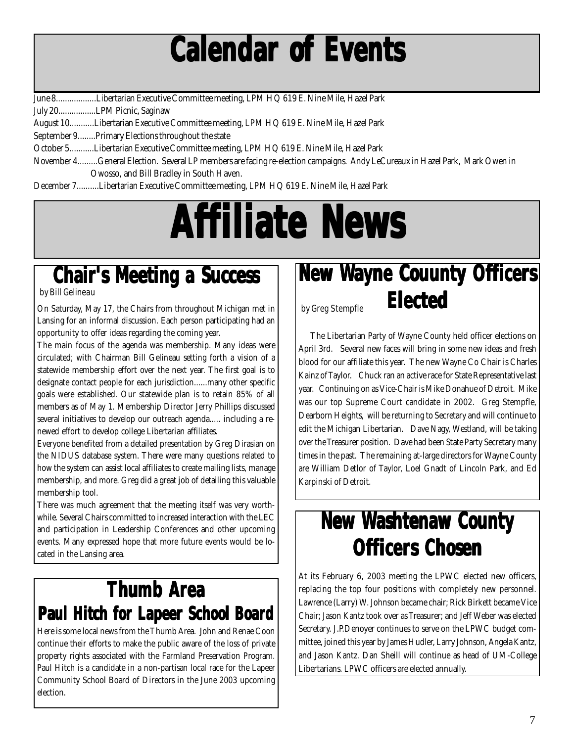## **Calendar of Events Calendar of Events Calendar of Events**

June 8..................Libertarian Executive Committee meeting, LPM HQ 619 E. Nine Mile, Hazel Park

July 20.................LPM Picnic, Saginaw

August 10...........Libertarian Executive Committee meeting, LPM HQ 619 E. Nine Mile, Hazel Park

September 9........Primary Elections throughout the state

October 5...........Libertarian Executive Committee meeting, LPM HQ 619 E. Nine Mile, Hazel Park

November 4.........General Election. Several LP members are facing re-election campaigns. Andy LeCureaux in Hazel Park, Mark Owen in Owosso, and Bill Bradley in South Haven.

December 7..........Libertarian Executive Committee meeting, LPM HQ 619 E. Nine Mile, Hazel Park

# **Affiliate News filiate News filiate News**

## **Chair's Meeting a Success**

On Saturday, May 17, the Chairs from throughout Michigan met in  $\vert$  by Greg Stempfle Lansing for an informal discussion. Each person participating had an opportunity to offer ideas regarding the coming year.

The main focus of the agenda was membership. Many ideas were circulated; with Chairman Bill Gelineau setting forth a vision of a statewide membership effort over the next year. The first goal is to designate contact people for each jurisdiction......many other specific goals were established. Our statewide plan is to retain 85% of all members as of May 1. Membership Director Jerry Phillips discussed several initiatives to develop our outreach agenda..... including a renewed effort to develop college Libertarian affiliates.

Everyone benefited from a detailed presentation by Greg Dirasian on the NIDUS database system. There were many questions related to how the system can assist local affiliates to create mailing lists, manage membership, and more. Greg did a great job of detailing this valuable membership tool.

There was much agreement that the meeting itself was very worthwhile. Several Chairs committed to increased interaction with the LEC and participation in Leadership Conferences and other upcoming events. Many expressed hope that more future events would be located in the Lansing area.

## **Thumb Area Paul Hitch for Lapeer School Board**

Here is some local news from the Thumb Area. John and Renae Coon continue their efforts to make the public aware of the loss of private property rights associated with the Farmland Preservation Program. Paul Hitch is a candidate in a non-partisan local race for the Lapeer Community School Board of Directors in the June 2003 upcoming election.

## **New Wayne Couunty Officers Elected Elected**

 The Libertarian Party of Wayne County held officer elections on April 3rd. Several new faces will bring in some new ideas and fresh blood for our affiliate this year. The new Wayne Co Chair is Charles Kainz of Taylor. Chuck ran an active race for State Representative last year. Continuing on as Vice-Chair is Mike Donahue of Detroit. Mike was our top Supreme Court candidate in 2002. Greg Stempfle, Dearborn Heights, will be returning to Secretary and will continue to edit the Michigan Libertarian. Dave Nagy, Westland, will be taking over the Treasurer position. Dave had been State Party Secretary many times in the past. The remaining at-large directors for Wayne County are William Detlor of Taylor, Loel Gnadt of Lincoln Park, and Ed Karpinski of Detroit.

## **New Washtenaw County ashtenaw County ashtenaw County Officers Chosen ficers Chosen**

At its February 6, 2003 meeting the LPWC elected new officers, replacing the top four positions with completely new personnel. Lawrence (Larry) W. Johnson became chair; Rick Birkett became Vice Chair; Jason Kantz took over as Treasurer; and Jeff Weber was elected Secretary. J.P.Denoyer continues to serve on the LPWC budget committee, joined this year by James Hudler, Larry Johnson, Angela Kantz, and Jason Kantz. Dan Sheill will continue as head of UM-College Libertarians. LPWC officers are elected annually.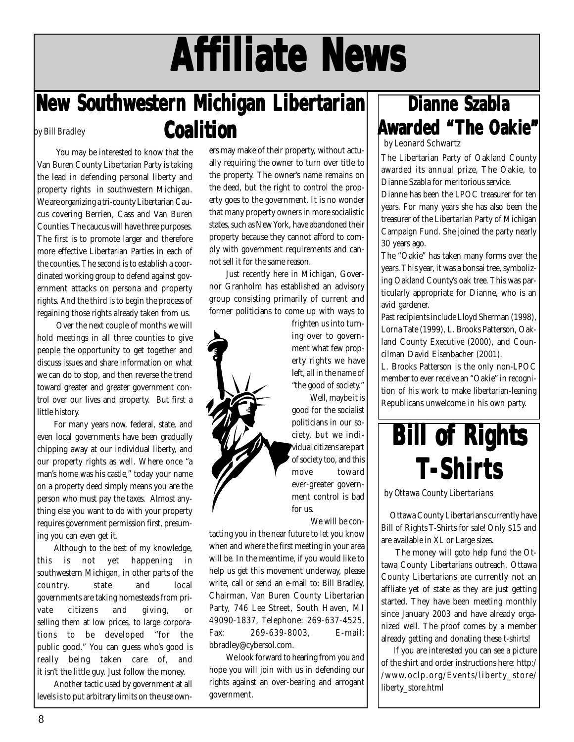# **Affiliate News filiate News filiate News**

## **New Southwester New Southwester New Southwestern Michigan Liber n Michigan Liber n Michigan Libertarian Coalition Coalition** by Bill Bradley

 You may be interested to know that the Van Buren County Libertarian Party is taking the lead in defending personal liberty and property rights in southwestern Michigan. We are organizing a tri-county Libertarian Caucus covering Berrien, Cass and Van Buren Counties. The caucus will have three purposes. The first is to promote larger and therefore more effective Libertarian Parties in each of the counties. The second is to establish a coordinated working group to defend against government attacks on persona and property rights. And the third is to begin the process of regaining those rights already taken from us.

 Over the next couple of months we will hold meetings in all three counties to give people the opportunity to get together and discuss issues and share information on what we can do to stop, and then reverse the trend toward greater and greater government control over our lives and property. But first a little history.

For many years now, federal, state, and even local governments have been gradually chipping away at our individual liberty, and our property rights as well. Where once "a man's home was his castle," today your name on a property deed simply means you are the person who must pay the taxes. Almost anything else you want to do with your property requires government permission first, presuming you can even get it.

Although to the best of my knowledge, this is not yet happening in southwestern Michigan, in other parts of the country, state and local governments are taking homesteads from private citizens and giving, or selling them at low prices, to large corporations to be developed "for the public good." You can guess who's good is really being taken care of, and it isn't the little guy. Just follow the money.

Another tactic used by government at all levels is to put arbitrary limits on the use owners may make of their property, without actually requiring the owner to turn over title to the property. The owner's name remains on the deed, but the right to control the property goes to the government. It is no wonder that many property owners in more socialistic states, such as New York, have abandoned their property because they cannot afford to comply with government requirements and cannot sell it for the same reason.

Just recently here in Michigan, Governor Granholm has established an advisory group consisting primarily of current and former politicians to come up with ways to



ing over to government what few property rights we have left, all in the name of "the good of society." Well, maybe it is

good for the socialist politicians in our society, but we individual citizens are part of society too, and this move toward ever-greater government control is bad

We will be con-

tacting you in the near future to let you know when and where the first meeting in your area will be. In the meantime, if you would like to help us get this movement underway, please write, call or send an e-mail to: Bill Bradley, Chairman, Van Buren County Libertarian Party, 746 Lee Street, South Haven, MI 49090-1837, Telephone: 269-637-4525, Fax: 269-639-8003, E-mail: bbradley@cybersol.com.

We look forward to hearing from you and hope you will join with us in defending our rights against an over-bearing and arrogant government.

## **Dianne Szabla Dianne Szabla Awarded "The Oakie"** by Leonard Schwartz

The Libertarian Party of Oakland County awarded its annual prize, The Oakie, to Dianne Szabla for meritorious service.

Dianne has been the LPOC treasurer for ten years. For many years she has also been the treasurer of the Libertarian Party of Michigan Campaign Fund. She joined the party nearly 30 years ago.

The "Oakie" has taken many forms over the years. This year, it was a bonsai tree, symbolizing Oakland County's oak tree. This was particularly appropriate for Dianne, who is an avid gardener.

Past recipients include Lloyd Sherman (1998), Lorna Tate (1999), L. Brooks Patterson, Oakland County Executive (2000), and Councilman David Eisenbacher (2001).

L. Brooks Patterson is the only non-LPOC member to ever receive an "Oakie" in recognition of his work to make libertarian-leaning Republicans unwelcome in his own party.



by Ottawa County Libertarians

 Ottawa County Libertarians currently have Bill of Rights T-Shirts for sale! Only \$15 and are available in XL or Large sizes.

 The money will goto help fund the Ottawa County Libertarians outreach. Ottawa County Libertarians are currently not an affliate yet of state as they are just getting started. They have been meeting monthly since January 2003 and have already organized well. The proof comes by a member already getting and donating these t-shirts!

 If you are interested you can see a picture of the shirt and order instructions here: http:/ /www.oclp.org/Events/liberty\_store/ liberty\_store.html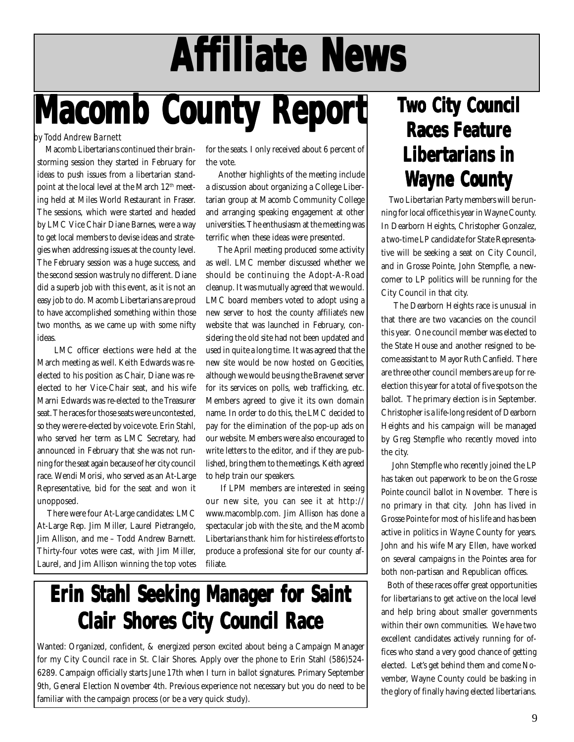# **Affiliate News filiate News filiate News**

# **Macomb County Report**

## by Todd Andrew Barnett

 Macomb Libertarians continued their brainstorming session they started in February for ideas to push issues from a libertarian standpoint at the local level at the March 12<sup>th</sup> meeting held at Miles World Restaurant in Fraser. The sessions, which were started and headed by LMC Vice Chair Diane Barnes, were a way to get local members to devise ideas and strategies when addressing issues at the county level. The February session was a huge success, and the second session was truly no different. Diane did a superb job with this event, as it is not an easy job to do. Macomb Libertarians are proud to have accomplished something within those two months, as we came up with some nifty ideas.

 LMC officer elections were held at the March meeting as well. Keith Edwards was reelected to his position as Chair, Diane was reelected to her Vice-Chair seat, and his wife Marni Edwards was re-elected to the Treasurer seat. The races for those seats were uncontested, so they were re-elected by voice vote. Erin Stahl, who served her term as LMC Secretary, had announced in February that she was not running for the seat again because of her city council race. Wendi Morisi, who served as an At-Large Representative, bid for the seat and won it unopposed.

 There were four At-Large candidates: LMC At-Large Rep. Jim Miller, Laurel Pietrangelo, Jim Allison, and me – Todd Andrew Barnett. Thirty-four votes were cast, with Jim Miller, Laurel, and Jim Allison winning the top votes for the seats. I only received about 6 percent of the vote.

 Another highlights of the meeting include a discussion about organizing a College Libertarian group at Macomb Community College and arranging speaking engagement at other universities. The enthusiasm at the meeting was terrific when these ideas were presented.

 The April meeting produced some activity as well. LMC member discussed whether we should be continuing the Adopt-A-Road cleanup. It was mutually agreed that we would. LMC board members voted to adopt using a new server to host the county affiliate's new website that was launched in February, considering the old site had not been updated and used in quite a long time. It was agreed that the new site would be now hosted on Geocities, although we would be using the Bravenet server for its services on polls, web trafficking, etc. Members agreed to give it its own domain name. In order to do this, the LMC decided to pay for the elimination of the pop-up ads on our website. Members were also encouraged to write letters to the editor, and if they are published, bring them to the meetings. Keith agreed to help train our speakers.

 If LPM members are interested in seeing our new site, you can see it at http:// www.macomblp.com. Jim Allison has done a spectacular job with the site, and the Macomb Libertarians thank him for his tireless efforts to produce a professional site for our county affiliate.

## **Erin Stahl Seeking Manager for Saint Erin Stahl Seeking Manager for Saint Erin Stahl Seeking Manager for Saint Clair Shores City Council Race**

Wanted: Organized, confident, & energized person excited about being a Campaign Manager for my City Council race in St. Clair Shores. Apply over the phone to Erin Stahl (586)524- 6289. Campaign officially starts June 17th when I turn in ballot signatures. Primary September 9th, General Election November 4th. Previous experience not necessary but you do need to be familiar with the campaign process (or be a very quick study).

## **Two City Council Races Feature Libertarians in Wayne County ayne County**

 Two Libertarian Party members will be running for local office this year in Wayne County. In Dearborn Heights, Christopher Gonzalez, a two-time LP candidate for State Representative will be seeking a seat on City Council, and in Grosse Pointe, John Stempfle, a newcomer to LP politics will be running for the City Council in that city.

 The Dearborn Heights race is unusual in that there are two vacancies on the council this year. One council member was elected to the State House and another resigned to become assistant to Mayor Ruth Canfield. There are three other council members are up for reelection this year for a total of five spots on the ballot. The primary election is in September. Christopher is a life-long resident of Dearborn Heights and his campaign will be managed by Greg Stempfle who recently moved into the city.

 John Stempfle who recently joined the LP has taken out paperwork to be on the Grosse Pointe council ballot in November. There is no primary in that city. John has lived in Grosse Pointe for most of his life and has been active in politics in Wayne County for years. John and his wife Mary Ellen, have worked on several campaigns in the Pointes area for both non-partisan and Republican offices.

 Both of these races offer great opportunities for libertarians to get active on the local level and help bring about smaller governments within their own communities. We have two excellent candidates actively running for offices who stand a very good chance of getting elected. Let's get behind them and come November, Wayne County could be basking in the glory of finally having elected libertarians.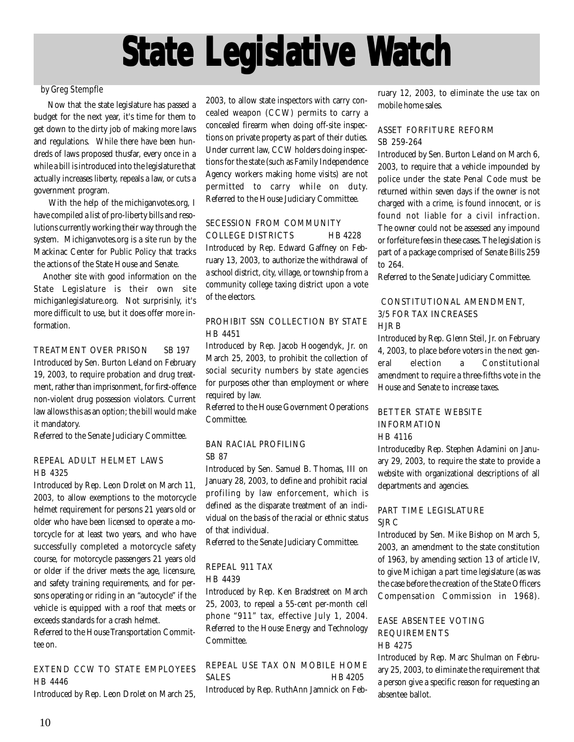# **State Legislative Watch**

### by Greg Stempfle

 Now that the state legislature has passed a budget for the next year, it's time for them to get down to the dirty job of making more laws and regulations. While there have been hundreds of laws proposed thusfar, every once in a while a bill is introduced into the legislature that actually increases liberty, repeals a law, or cuts a government program.

 With the help of the michiganvotes.org, I have compiled a list of pro-liberty bills and resolutions currently working their way through the system. Michiganvotes.org is a site run by the Mackinac Center for Public Policy that tracks the actions of the State House and Senate.

 Another site with good information on the State Legislature is their own site michiganlegislature.org. Not surprisinly, it's more difficult to use, but it does offer more information.

TREATMENT OVER PRISON SB 197 Introduced by Sen. Burton Leland on February 19, 2003, to require probation and drug treatment, rather than imprisonment, for first-offence non-violent drug possession violators. Current law allows this as an option; the bill would make it mandatory.

Referred to the Senate Judiciary Committee.

#### REPEAL ADULT HELMET LAWS HB 4325

Introduced by Rep. Leon Drolet on March 11, 2003, to allow exemptions to the motorcycle helmet requirement for persons 21 years old or older who have been licensed to operate a motorcycle for at least two years, and who have successfully completed a motorcycle safety course, for motorcycle passengers 21 years old or older if the driver meets the age, licensure, and safety training requirements, and for persons operating or riding in an "autocycle" if the vehicle is equipped with a roof that meets or exceeds standards for a crash helmet.

Referred to the House Transportation Committee on.

## EXTEND CCW TO STATE EMPLOYEES HB 4446

Introduced by Rep. Leon Drolet on March 25,

2003, to allow state inspectors with carry concealed weapon (CCW) permits to carry a concealed firearm when doing off-site inspections on private property as part of their duties. Under current law, CCW holders doing inspections for the state (such as Family Independence Agency workers making home visits) are not permitted to carry while on duty. Referred to the House Judiciary Committee.

### SECESSION FROM COMMUNITY

COLLEGE DISTRICTS HB 4228 Introduced by Rep. Edward Gaffney on February 13, 2003, to authorize the withdrawal of a school district, city, village, or township from a community college taxing district upon a vote of the electors.

## PROHIBIT SSN COLLECTION BY STATE HB 4451

Introduced by Rep. Jacob Hoogendyk, Jr. on March 25, 2003, to prohibit the collection of social security numbers by state agencies for purposes other than employment or where required by law.

Referred to the House Government Operations Committee.

#### BAN RACIAL PROFILING SB 87

Introduced by Sen. Samuel B. Thomas, III on January 28, 2003, to define and prohibit racial profiling by law enforcement, which is defined as the disparate treatment of an individual on the basis of the racial or ethnic status of that individual.

Referred to the Senate Judiciary Committee.

### REPEAL 911 TAX

HB 4439

Introduced by Rep. Ken Bradstreet on March 25, 2003, to repeal a 55-cent per-month cell phone "911" tax, effective July 1, 2004. Referred to the House Energy and Technology Committee.

REPEAL USE TAX ON MOBILE HOME SALES HB 4205 Introduced by Rep. RuthAnn Jamnick on February 12, 2003, to eliminate the use tax on mobile home sales.

## ASSET FORFITURE REFORM SB 259-264

Introduced by Sen. Burton Leland on March 6, 2003, to require that a vehicle impounded by police under the state Penal Code must be returned within seven days if the owner is not charged with a crime, is found innocent, or is found not liable for a civil infraction. The owner could not be assessed any impound or forfeiture fees in these cases. The legislation is part of a package comprised of Senate Bills 259 to 264.

Referred to the Senate Judiciary Committee.

### CONSTITUTIONAL AMENDMENT, 3/5 FOR TAX INCREASES HJR B

Introduced by Rep. Glenn Steil, Jr. on February 4, 2003, to place before voters in the next general election a Constitutional amendment to require a three-fifths vote in the House and Senate to increase taxes.

## BETTER STATE WEBSITE INFORMATION

HB 4116

Introducedby Rep. Stephen Adamini on January 29, 2003, to require the state to provide a website with organizational descriptions of all departments and agencies.

## PART TIME LEGISLATURE SJR C

Introduced by Sen. Mike Bishop on March 5, 2003, an amendment to the state constitution of 1963, by amending section 13 of article IV, to give Michigan a part time legislature (as was the case before the creation of the State Officers Compensation Commission in 1968).

## EASE ABSENTEE VOTING REQUIREMENTS HB 4275

Introduced by Rep. Marc Shulman on February 25, 2003, to eliminate the requirement that a person give a specific reason for requesting an absentee ballot.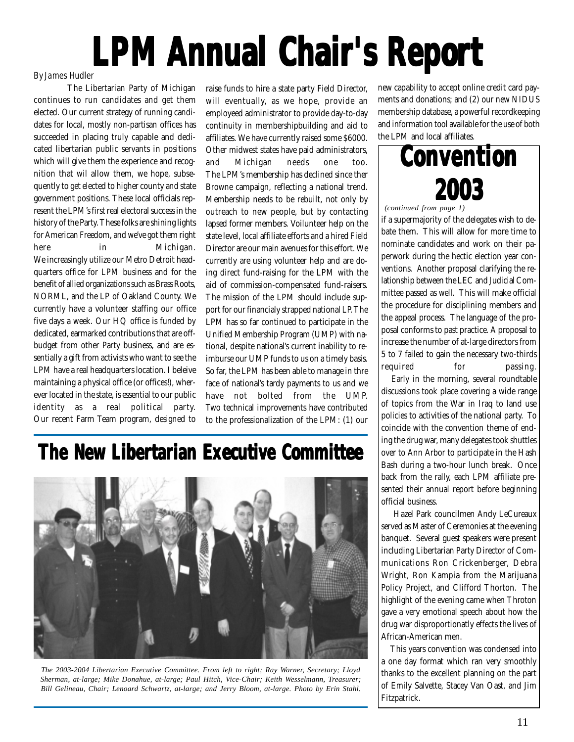# **LPM Annual Chair's Report**

## By James Hudler

The Libertarian Party of Michigan continues to run candidates and get them elected. Our current strategy of running candidates for local, mostly non-partisan offices has succeeded in placing truly capable and dedicated libertarian public servants in positions which will give them the experience and recognition that wil allow them, we hope, subsequently to get elected to higher county and state government positions. These local officials represent the LPM's first real electoral success in the history of the Party. These folks are shining lights for American Freedom, and we've got them right here in Michigan. We increasingly utilize our Metro Detroit headquarters office for LPM business and for the benefit of allied organizations such as Brass Roots, NORML, and the LP of Oakland County. We currently have a volunteer staffing our office five days a week. Our HQ office is funded by dedicated, earmarked contributions that are offbudget from other Party business, and are essentially a gift from activists who want to see the LPM have a real headquarters location. I beleive maintaining a physical office (or offices!), wherever located in the state, is essential to our public identity as a real political party. Our recent Farm Team program, designed to

raise funds to hire a state party Field Director, will eventually, as we hope, provide an employeed administrator to provide day-to-day continuity in membershipbuilding and aid to affiliates. We have currently raised some \$6000. Other midwest states have paid administrators, and Michigan needs one too. The LPM's membership has declined since ther Browne campaign, reflecting a national trend. Membership needs to be rebuilt, not only by outreach to new people, but by contacting lapsed former members. Voilunteer help on the state level, local affiliate efforts and a hired Field Director are our main avenues for this effort. We currently are using volunteer help and are doing direct fund-raising for the LPM with the aid of commission-compensated fund-raisers. The mission of the LPM should include support for our financialy strapped national LP. The LPM has so far continued to participate in the Unified Membership Program (UMP) with national, despite national's current inability to reimburse our UMP funds to us on a timely basis. So far, the LPM has been able to manage in thre face of national's tardy payments to us and we have not bolted from the UMP. Two technical improvements have contributed to the professionalization of the LPM: (1) our

## **The New Libertarian Executive Committee**



*The 2003-2004 Libertarian Executive Committee. From left to right; Ray Warner, Secretary; Lloyd Sherman, at-large; Mike Donahue, at-large; Paul Hitch, Vice-Chair; Keith Wesselmann, Treasurer; Bill Gelineau, Chair; Lenoard Schwartz, at-large; and Jerry Bloom, at-large. Photo by Erin Stahl.*

new capability to accept online credit card payments and donations; and (2) our new NIDUS membership database, a powerful recordkeeping and information tool available for the use of both the LPM and local affiliates.



#### *(continued from page 1)*

if a supermajority of the delegates wish to debate them. This will allow for more time to nominate candidates and work on their paperwork during the hectic election year conventions. Another proposal clarifying the relationship between the LEC and Judicial Committee passed as well. This will make official the procedure for disciplining members and the appeal process. The language of the proposal conforms to past practice. A proposal to increase the number of at-large directors from 5 to 7 failed to gain the necessary two-thirds required for passing.

 Early in the morning, several roundtable discussions took place covering a wide range of topics from the War in Iraq to land use policies to activities of the national party. To coincide with the convention theme of ending the drug war, many delegates took shuttles over to Ann Arbor to participate in the Hash Bash during a two-hour lunch break. Once back from the rally, each LPM affiliate presented their annual report before beginning official business.

 Hazel Park councilmen Andy LeCureaux served as Master of Ceremonies at the evening banquet. Several guest speakers were present including Libertarian Party Director of Communications Ron Crickenberger, Debra Wright, Ron Kampia from the Marijuana Policy Project, and Clifford Thorton. The highlight of the evening came when Throton gave a very emotional speech about how the drug war disproportionatly effects the lives of African-American men.

 This years convention was condensed into a one day format which ran very smoothly thanks to the excellent planning on the part of Emily Salvette, Stacey Van Oast, and Jim Fitzpatrick.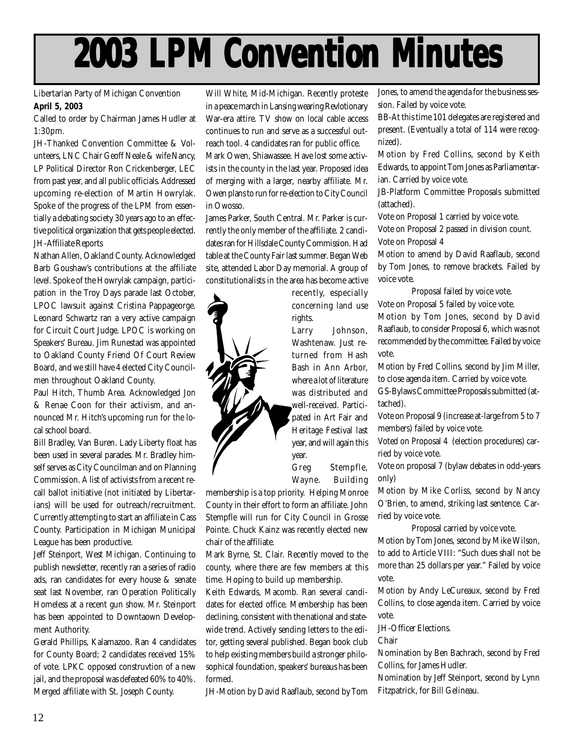# **2003 LPM Convention Minutes 2003 LPM Convention Minutes 2003 LPM Convention Minutes**

Libertarian Party of Michigan Convention **April 5, 2003**

Called to order by Chairman James Hudler at 1:30pm.

JH-Thanked Convention Committee & Volunteers, LNC Chair Geoff Neale & wife Nancy, LP Political Director Ron Crickenberger, LEC from past year, and all public officials. Addressed upcoming re-election of Martin Howrylak. Spoke of the progress of the LPM from essentially a debating society 30 years ago to an effective political organization that gets people elected. JH-Affiliate Reports

Nathan Allen, Oakland County. Acknowledged Barb Goushaw's contributions at the affiliate level. Spoke of the Howrylak campaign, participation in the Troy Days parade last October, LPOC lawsuit against Cristina Pappageorge. Leonard Schwartz ran a very active campaign for Circuit Court Judge. LPOC is working on Speakers' Bureau. Jim Runestad was appointed to Oakland County Friend Of Court Review Board, and we still have 4 elected City Councilmen throughout Oakland County.

Paul Hitch, Thumb Area. Acknowledged Jon & Renae Coon for their activism, and announced Mr. Hitch's upcoming run for the local school board.

Bill Bradley, Van Buren. Lady Liberty float has been used in several parades. Mr. Bradley himself serves as City Councilman and on Planning Commission. A list of activists from a recent recall ballot initiative (not initiated by Libertarians) will be used for outreach/recruitment. Currently attempting to start an affiliate in Cass County. Participation in Michigan Municipal League has been productive.

Jeff Steinport, West Michigan. Continuing to publish newsletter, recently ran a series of radio ads, ran candidates for every house & senate seat last November, ran Operation Politically Homeless at a recent gun show. Mr. Steinport has been appointed to Downtaown Development Authority.

Gerald Phillips, Kalamazoo. Ran 4 candidates for County Board; 2 candidates received 15% of vote. LPKC opposed construvtion of a new jail, and the proposal was defeated 60% to 40%. Merged affiliate with St. Joseph County.

Will White, Mid-Michigan. Recently proteste in a peace march in Lansing wearing Revlotionary War-era attire. TV show on local cable access continues to run and serve as a successful outreach tool. 4 candidates ran for public office. Mark Owen, Shiawassee. Have lost some activists in the county in the last year. Proposed idea of merging with a larger, nearby affiliate. Mr. Owen plans to run for re-election to City Council in Owosso.

James Parker, South Central. Mr. Parker is currently the only member of the affiliate. 2 candidates ran for Hillsdale County Commission. Had table at the County Fair last summer. Began Web site, attended Labor Day memorial. A group of constitutionalists in the area has become active

recently, especially concerning land use rights.

Larry Johnson, Washtenaw. Just returned from Hash Bash in Ann Arbor, where a lot of literature was distributed and well-received. Participated in Art Fair and Heritage Festival last year, and will again this year.

Greg Stempfle, Wayne. Building

membership is a top priority. Helping Monroe County in their effort to form an affiliate. John Stempfle will run for City Council in Grosse Pointe. Chuck Kainz was recently elected new chair of the affiliate.

Mark Byrne, St. Clair. Recently moved to the county, where there are few members at this time. Hoping to build up membership.

Keith Edwards, Macomb. Ran several candidates for elected office. Membership has been declining, consistent with the national and statewide trend. Actively sending letters to the editor, getting several published. Began book club to help existing members build a stronger philosophical foundation, speakers' bureaus has been formed.

JH-Motion by David Raaflaub, second by Tom

Jones, to amend the agenda for the business session. Failed by voice vote.

BB-At this time 101 delegates are registered and present. (Eventually a total of 114 were recognized).

Motion by Fred Collins, second by Keith Edwards, to appoint Tom Jones as Parliamentarian. Carried by voice vote.

JB-Platform Committee Proposals submitted (attached).

Vote on Proposal 1 carried by voice vote.

Vote on Proposal 2 passed in division count. Vote on Proposal 4

Motion to amend by David Raaflaub, second by Tom Jones, to remove brackets. Failed by voice vote.

Proposal failed by voice vote. Vote on Proposal 5 failed by voice vote.

Motion by Tom Jones, second by David Raaflaub, to consider Proposal 6, which was not recommended by the committee. Failed by voice vote.

Motion by Fred Collins, second by Jim Miller, to close agenda item. Carried by voice vote.

GS-Bylaws Committee Proposals submitted (attached).

Vote on Proposal 9 (increase at-large from 5 to 7 members) failed by voice vote.

Voted on Proposal 4 (election procedures) carried by voice vote.

Vote on proposal 7 (bylaw debates in odd-years only)

Motion by Mike Corliss, second by Nancy O'Brien, to amend, striking last sentence. Carried by voice vote.

Proposal carried by voice vote.

Motion by Tom Jones, second by Mike Wilson, to add to Article VIII: "Such dues shall not be more than 25 dollars per year." Failed by voice vote.

Motion by Andy LeCureaux, second by Fred Collins, to close agenda item. Carried by voice vote.

JH-Officer Elections.

Chair

Nomination by Ben Bachrach, second by Fred Collins, for James Hudler.

Nomination by Jeff Steinport, second by Lynn Fitzpatrick, for Bill Gelineau.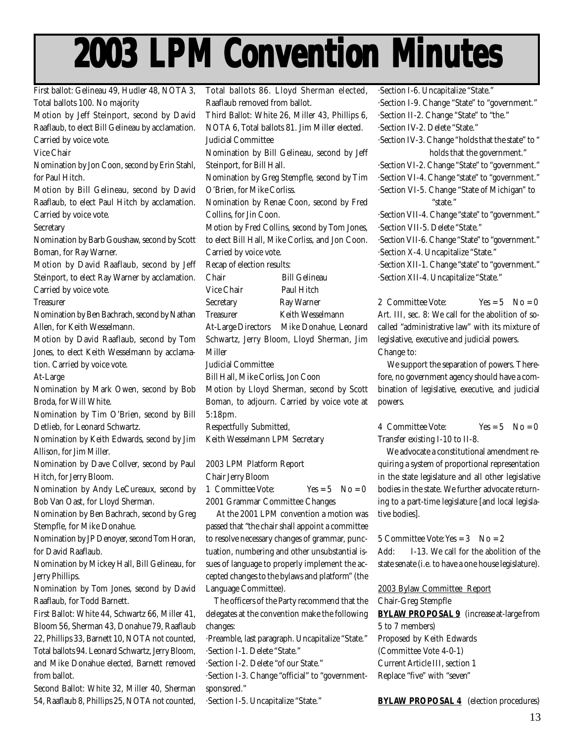# **2003 LPM Convention Minutes 2003 LPM Convention Minutes 2003 LPM Convention Minutes**

First ballot: Gelineau 49, Hudler 48, NOTA 3, Total ballots 100. No majority Motion by Jeff Steinport, second by David Raaflaub, to elect Bill Gelineau by acclamation. Carried by voice vote. Vice Chair Nomination by Jon Coon, second by Erin Stahl, for Paul Hitch. Motion by Bill Gelineau, second by David Raaflaub, to elect Paul Hitch by acclamation. Carried by voice vote. **Secretary** Nomination by Barb Goushaw, second by Scott Boman, for Ray Warner. Motion by David Raaflaub, second by Jeff Steinport, to elect Ray Warner by acclamation. Carried by voice vote. **Treasurer** Nomination by Ben Bachrach, second by Nathan Allen, for Keith Wesselmann. Motion by David Raaflaub, second by Tom Jones, to elect Keith Wesselmann by acclamation. Carried by voice vote. At-Large Nomination by Mark Owen, second by Bob Broda, for Will White. Nomination by Tim O'Brien, second by Bill Detlieb, for Leonard Schwartz. Nomination by Keith Edwards, second by Jim Allison, for Jim Miller. Nomination by Dave Collver, second by Paul Hitch, for Jerry Bloom. Nomination by Andy LeCureaux, second by Bob Van Oast, for Lloyd Sherman. Nomination by Ben Bachrach, second by Greg Stempfle, for Mike Donahue. Nomination by JP Denoyer, second Tom Horan, for David Raaflaub. Nomination by Mickey Hall, Bill Gelineau, for Jerry Phillips. Nomination by Tom Jones, second by David Raaflaub, for Todd Barnett. First Ballot: White 44, Schwartz 66, Miller 41, Bloom 56, Sherman 43, Donahue 79, Raaflaub 22, Phillips 33, Barnett 10, NOTA not counted, Total ballots 94. Leonard Schwartz, Jerry Bloom, and Mike Donahue elected, Barnett removed Total ballots 86. Lloyd Sherman elected, Raaflaub removed from ballot. Third Ballot: White 26, Miller 43, Phillips 6, NOTA 6, Total ballots 81. Jim Miller elected. Judicial Committee Nomination by Bill Gelineau, second by Jeff Steinport, for Bill Hall. Nomination by Greg Stempfle, second by Tim O'Brien, for Mike Corliss. Nomination by Renae Coon, second by Fred Collins, for Jin Coon. Motion by Fred Collins, second by Tom Jones, to elect Bill Hall, Mike Corliss, and Jon Coon. Carried by voice vote. Recap of election results: Chair Bill Gelineau Vice Chair Paul Hitch Secretary Ray Warner Treasurer Keith Wesselmann At-Large Directors Mike Donahue, Leonard Schwartz, Jerry Bloom, Lloyd Sherman, Jim Miller Judicial Committee Bill Hall, Mike Corliss, Jon Coon Motion by Lloyd Sherman, second by Scott Boman, to adjourn. Carried by voice vote at 5:18pm. Respectfully Submitted, Keith Wesselmann LPM Secretary 2003 LPM Platform Report Chair Jerry Bloom 1 Committee Vote:  $Yes = 5 No = 0$ 2001 Grammar Committee Changes At the 2001 LPM convention a motion was passed that "the chair shall appoint a committee to resolve necessary changes of grammar, punctuation, numbering and other unsubstantial issues of language to properly implement the accepted changes to the bylaws and platform" (the Language Committee). The officers of the Party recommend that the delegates at the convention make the following changes: ·Preamble, last paragraph. Uncapitalize "State." ·Section I-1. Delete "State." ·Section I-2. Delete "of our State." ·Section I-6. Uncapitalize "State." ·Section I-9. Change "State" to "government." ·Section II-2. Change "State" to "the." ·Section IV-2. Delete "State." ·Section IV-3. Change "holds that the state" to " holds that the government." ·Section VI-2. Change "State" to "government." ·Section VI-4. Change "state" to "government." ·Section VI-5. Change "State of Michigan" to "state." ·Section VII-4. Change "state" to "government." ·Section VII-5. Delete "State." ·Section VII-6. Change "State" to "government." ·Section X-4. Uncapitalize "State." ·Section XII-1. Change "state" to "government." ·Section XII-4. Uncapitalize "State." 2 Committee Vote:  $Yes = 5 \quad No = 0$ Art. III, sec. 8: We call for the abolition of socalled "administrative law" with its mixture of legislative, executive and judicial powers. Change to: We support the separation of powers. Therefore, no government agency should have a combination of legislative, executive, and judicial powers. 4 Committee Vote:  $Yes = 5 \quad No = 0$ Transfer existing I-10 to II-8. We advocate a constitutional amendment requiring a system of proportional representation in the state legislature and all other legislative bodies in the state. We further advocate returning to a part-time legislature [and local legislative bodies]. 5 Committee Vote: Yes  $= 3$  No  $= 2$ Add: I-13. We call for the abolition of the state senate (i.e. to have a one house legislature). 2003 Bylaw Committee Report Chair-Greg Stempfle **BYLAW PROPOSAL 9** (increase at-large from 5 to 7 members) Proposed by Keith Edwards (Committee Vote 4-0-1) Current Article III, section 1

·Section I-3. Change "official" to "governmentsponsored." Replace "five" with "seven"

·Section I-5. Uncapitalize "State."

from ballot.

Second Ballot: White 32, Miller 40, Sherman 54, Raaflaub 8, Phillips 25, NOTA not counted,

**BYLAW PROPOSAL 4** (election procedures)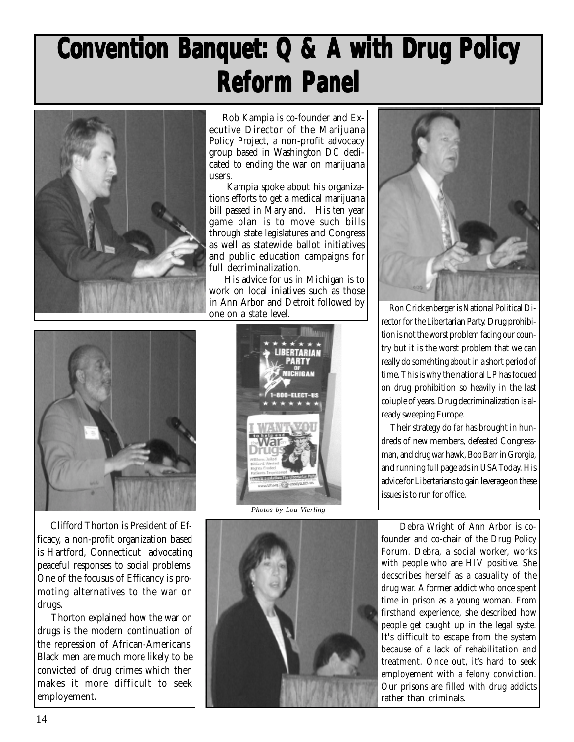## **Convention Banquet: Q & A with Drug Policy Reform Panel**



 Rob Kampia is co-founder and Executive Director of the Marijuana Policy Project, a non-profit advocacy group based in Washington DC dedicated to ending the war on marijuana users.

 Kampia spoke about his organizations efforts to get a medical marijuana bill passed in Maryland. His ten year game plan is to move such bills through state legislatures and Congress as well as statewide ballot initiatives and public education campaigns for full decriminalization.

 His advice for us in Michigan is to work on local iniatives such as those in Ann Arbor and Detroit followed by one on a state level.



 Clifford Thorton is President of Efficacy, a non-profit organization based is Hartford, Connecticut advocating peaceful responses to social problems. One of the focusus of Efficancy is promoting alternatives to the war on drugs.

 Thorton explained how the war on drugs is the modern continuation of the repression of African-Americans. Black men are much more likely to be convicted of drug crimes which then makes it more difficult to seek employement.



*Photos by Lou Vierling*





 Ron Crickenberger is National Political Director for the Libertarian Party. Drug prohibition is not the worst problem facing our country but it is the worst problem that we can really do somehting about in a short period of time. This is why the national LP has focued on drug prohibition so heavily in the last coiuple of years. Drug decriminalization is already sweeping Europe.

 Their strategy do far has brought in hundreds of new members, defeated Congressman, and drug war hawk, Bob Barr in Grorgia, and running full page ads in USA Today. His advice for Libertarians to gain leverage on these issues is to run for office.

 Debra Wright of Ann Arbor is cofounder and co-chair of the Drug Policy Forum. Debra, a social worker, works with people who are HIV positive. She decscribes herself as a casuality of the drug war. A former addict who once spent time in prison as a young woman. From firsthand experience, she described how people get caught up in the legal syste. It's difficult to escape from the system because of a lack of rehabilitation and treatment. Once out, it's hard to seek employement with a felony conviction. Our prisons are filled with drug addicts rather than criminals.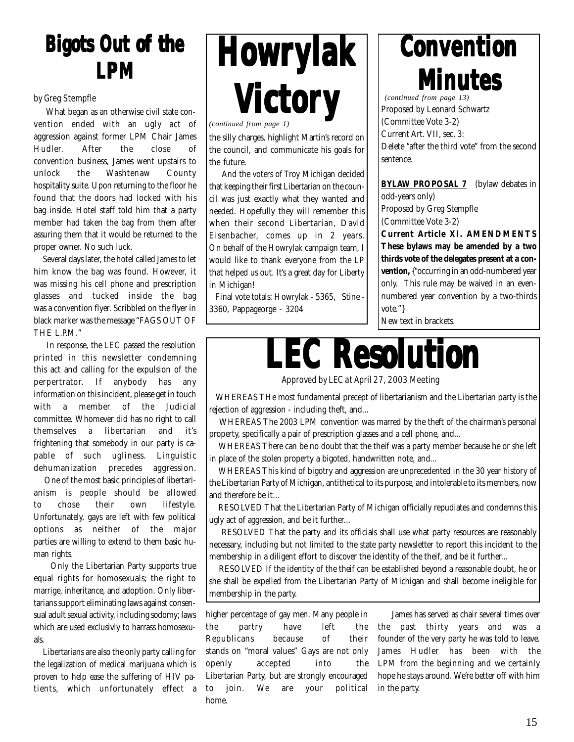## **Bigots Out of the Bigots Out of the Bigots Out of the LPM**

### by Greg Stempfle

 What began as an otherwise civil state convention ended with an ugly act of aggression against former LPM Chair James Hudler. After the close of convention business, James went upstairs to unlock the Washtenaw County hospitality suite. Upon returning to the floor he found that the doors had locked with his bag inside. Hotel staff told him that a party member had taken the bag from them after assuring them that it would be returned to the proper owner. No such luck.

 Several days later, the hotel called James to let him know the bag was found. However, it was missing his cell phone and prescription glasses and tucked inside the bag was a convention flyer. Scribbled on the flyer in black marker was the message "FAGS OUT OF THE L.P.M."

 In response, the LEC passed the resolution printed in this newsletter condemning this act and calling for the expulsion of the perpertrator. If anybody has any information on this incident, please get in touch with a member of the Judicial committee. Whomever did has no right to call themselves a libertarian and it's frightening that somebody in our party is capable of such ugliness. Linguistic dehumanization precedes aggression.

 One of the most basic principles of libertarianism is people should be allowed to chose their own lifestyle. Unfortunately, gays are left with few political options as neither of the major parties are willing to extend to them basic human rights.

 Only the Libertarian Party supports true equal rights for homosexuals; the right to marrige, inheritance, and adoption. Only libertarians support eliminating laws against consensual adult sexual activity, including sodomy; laws which are used exclusivly to harrass homosexuals.

 Libertarians are also the only party calling for the legalization of medical marijuana which is proven to help ease the suffering of HIV patients, which unfortunately effect a



the silly charges, highlight Martin's record on the council, and communicate his goals for the future.

 And the voters of Troy Michigan decided that keeping their first Libertarian on the council was just exactly what they wanted and needed. Hopefully they will remember this when their second Libertarian, David Eisenbacher, comes up in 2 years. On behalf of the Howrylak campaign team, I would like to thank everyone from the LP that helped us out. It's a great day for Liberty in Michigan!

 Final vote totals: Howrylak - 5365, Stine - 3360, Pappageorge - 3204

## **Convention Convention Convention**

**Minutes Minutes**

(Committee Vote 3-2) Current Art. VII, sec. 3: Delete "after the third vote" from the second sentence. *(continued from page 13)*

**BYLAW PROPOSAL 7** (bylaw debates in odd-years only) Proposed by Greg Stempfle (Committee Vote 3-2) **Current Article XI. AMENDMENTS These bylaws may be amended by a two thirds vote of the delegates present at a convention,** {"occurring in an odd-numbered year only. This rule may be waived in an evennumbered year convention by a two-thirds vote."}

New text in brackets.



Approved by LEC at April 27, 2003 Meeting

 WHEREAS THe most fundamental precept of libertarianism and the Libertarian party is the rejection of aggression - including theft, and...

 WHEREAS The 2003 LPM convention was marred by the theft of the chairman's personal property, specifically a pair of prescription glasses and a cell phone, and...

 WHEREAS There can be no doubt that the theif was a party member because he or she left in place of the stolen property a bigoted, handwritten note, and...

 WHEREAS This kind of bigotry and aggression are unprecedented in the 30 year history of the Libertarian Party of Michigan, antithetical to its purpose, and intolerable to its members, now and therefore be it...

 RESOLVED That the Libertarian Party of Michigan officially repudiates and condemns this ugly act of aggression, and be it further...

 RESOLVED That the party and its officials shall use what party resources are reasonably necessary, including but not limited to the state party newsletter to report this incident to the membership in a diligent effort to discover the identity of the theif, and be it further...

 RESOLVED If the identity of the theif can be established beyond a reasonable doubt, he or she shall be expelled from the Libertarian Party of Michigan and shall become ineligible for membership in the party.

higher percentage of gay men. Many people in the partry have left the Republicans because of their stands on "moral values" Gays are not only openly accepted into the Libertarian Party, but are strongly encouraged to join. We are your political home.

 James has served as chair several times over the past thirty years and was a founder of the very party he was told to leave. James Hudler has been with the LPM from the beginning and we certainly hope he stays around. We're better off with him in the party.